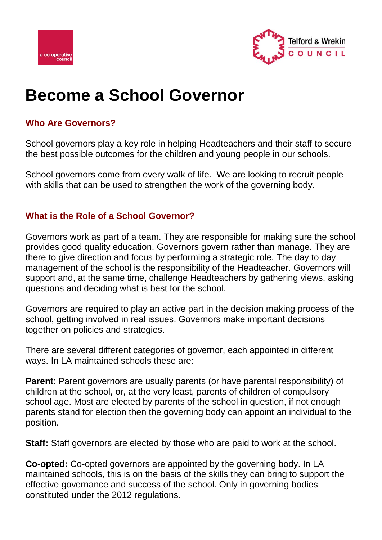



# **Become a School Governor**

# **Who Are Governors?**

School governors play a key role in helping Headteachers and their staff to secure the best possible outcomes for the children and young people in our schools.

School governors come from every walk of life. We are looking to recruit people with skills that can be used to strengthen the work of the governing body.

# **What is the Role of a School Governor?**

Governors work as part of a team. They are responsible for making sure the school provides good quality education. Governors govern rather than manage. They are there to give direction and focus by performing a strategic role. The day to day management of the school is the responsibility of the Headteacher. Governors will support and, at the same time, challenge Headteachers by gathering views, asking questions and deciding what is best for the school.

Governors are required to play an active part in the decision making process of the school, getting involved in real issues. Governors make important decisions together on policies and strategies.

There are several different categories of governor, each appointed in different ways. In LA maintained schools these are:

**Parent**: Parent governors are usually parents (or have parental responsibility) of children at the school, or, at the very least, parents of children of compulsory school age. Most are elected by parents of the school in question, if not enough parents stand for election then the governing body can appoint an individual to the position.

**Staff:** Staff governors are elected by those who are paid to work at the school.

**Co-opted:** Co-opted governors are appointed by the governing body. In LA maintained schools, this is on the basis of the skills they can bring to support the effective governance and success of the school. Only in governing bodies constituted under the 2012 regulations.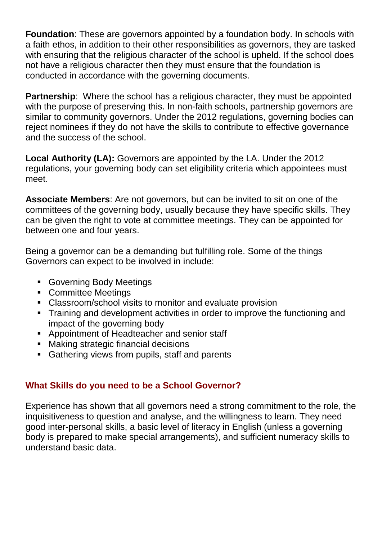**Foundation**: These are governors appointed by a foundation body. In schools with a faith ethos, in addition to their other responsibilities as governors, they are tasked with ensuring that the religious character of the school is upheld. If the school does not have a religious character then they must ensure that the foundation is conducted in accordance with the governing documents.

**Partnership**: Where the school has a religious character, they must be appointed with the purpose of preserving this. In non-faith schools, partnership governors are similar to community governors. Under the 2012 regulations, governing bodies can reject nominees if they do not have the skills to contribute to effective governance and the success of the school.

**Local Authority (LA):** Governors are appointed by the LA. Under the 2012 regulations, your governing body can set eligibility criteria which appointees must meet.

**Associate Members**: Are not governors, but can be invited to sit on one of the committees of the governing body, usually because they have specific skills. They can be given the right to vote at committee meetings. They can be appointed for between one and four years.

Being a governor can be a demanding but fulfilling role. Some of the things Governors can expect to be involved in include:

- **Governing Body Meetings**
- **Committee Meetings**
- Classroom/school visits to monitor and evaluate provision
- **Training and development activities in order to improve the functioning and** impact of the governing body
- **Appointment of Headteacher and senior staff**
- **Making strategic financial decisions**
- **Gathering views from pupils, staff and parents**

# **What Skills do you need to be a School Governor?**

Experience has shown that all governors need a strong commitment to the role, the inquisitiveness to question and analyse, and the willingness to learn. They need good inter-personal skills, a basic level of literacy in English (unless a governing body is prepared to make special arrangements), and sufficient numeracy skills to understand basic data.